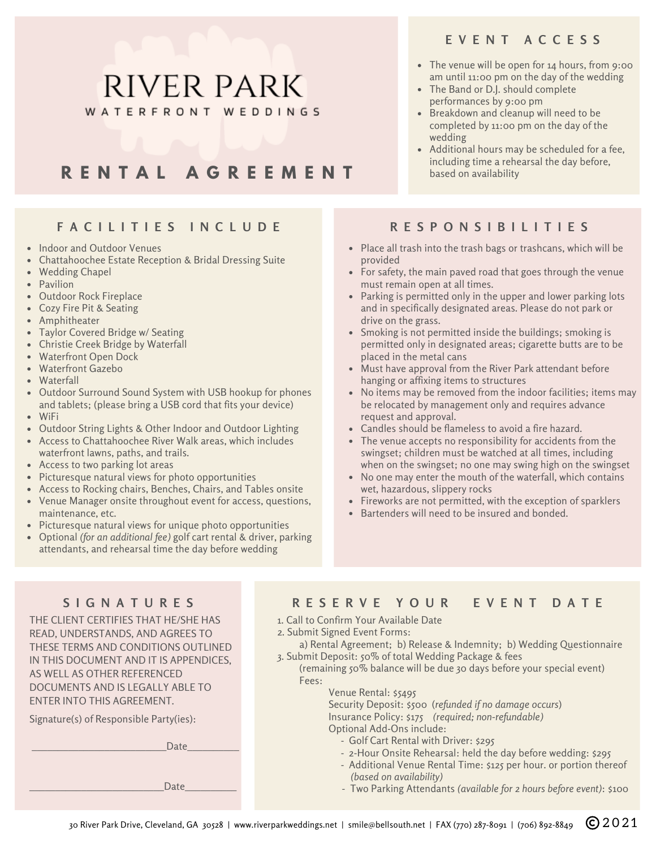### **E V E N T A C C E S S**

- The venue will be open for 14 hours, from 9:00 am until 11:00 pm on the day of the wedding
- The Band or D.J. should complete performances by 9:00 pm
- Breakdown and cleanup will need to be completed by 11:00 pm on the day of the wedding
- Additional hours may be scheduled for a fee, including time a rehearsal the day before, based on availability

# **F A C I L I T I E S I N C L U D E**

**R E N T A L A G R E E M E N T**

**RIVER PARK** 

WATERFRONT WEDDINGS

- Indoor and Outdoor Venues
- Chattahoochee Estate Reception & Bridal Dressing Suite
- Wedding Chapel
- Pavilion
- Outdoor Rock Fireplace
- Cozy Fire Pit & Seating
- Amphitheater
- Taylor Covered Bridge w/ Seating
- Christie Creek Bridge by Waterfall
- Waterfront Open Dock
- Waterfront Gazebo
- Waterfall
- Outdoor Surround Sound System with USB hookup for phones and tablets; (please bring a USB cord that fits your device) WiFi
- 
- Outdoor String Lights & Other Indoor and Outdoor Lighting
- Access to Chattahoochee River Walk areas, which includes waterfront lawns, paths, and trails.
- Access to two parking lot areas
- Picturesque natural views for photo opportunities
- Access to Rocking chairs, Benches, Chairs, and Tables onsite
- Venue Manager onsite throughout event for access, questions, maintenance, etc.
- Picturesque natural views for unique photo opportunities
- Optional *(for an additional fee)* golf cart rental & driver, parking attendants, and rehearsal time the day before wedding

## **R E S P O N S I B I L I T I E S**

- Place all trash into the trash bags or trashcans, which will be provided
- For safety, the main paved road that goes through the venue must remain open at all times.
- Parking is permitted only in the upper and lower parking lots and in specifically designated areas. Please do not park or drive on the grass.
- Smoking is not permitted inside the buildings; smoking is permitted only in designated areas; cigarette butts are to be placed in the metal cans
- Must have approval from the River Park attendant before hanging or affixing items to structures
- No items may be removed from the indoor facilities; items may be relocated by management only and requires advance request and approval.
- Candles should be flameless to avoid a fire hazard.
- The venue accepts no responsibility for accidents from the swingset; children must be watched at all times, including when on the swingset; no one may swing high on the swingset
- No one may enter the mouth of the waterfall, which contains wet, hazardous, slippery rocks
- $\bullet$  Fireworks are not permitted, with the exception of sparklers
- Bartenders will need to be insured and bonded.

THE CLIENT CERTIFIES THAT HE/SHE HAS READ, UNDERSTANDS, AND AGREES TO THESE TERMS AND CONDITIONS OUTLINED IN THIS DOCUMENT AND IT IS APPENDICES, AS WELL AS OTHER REFERENCED DOCUMENTS AND IS LEGALLY ABLE TO ENTER INTO THIS AGREEMENT.

Signature(s) of Responsible Party(ies):

\_\_\_\_\_\_\_\_\_\_\_\_\_\_\_\_\_\_\_\_\_\_\_\_\_\_Date\_\_\_\_\_\_\_\_\_\_

 $Date$ 

### SIGNATURES RESERVE YOUR FVENT DATE

#### 1. Call to Confirm Your Available Date

- 2. Submit Signed Event Forms:
- a) Rental Agreement; b) Release & Indemnity; b) Wedding Questionnaire 3. Submit Deposit: 50% of total Wedding Package & fees

#### (remaining 50% balance will be due 30 days before your special event) Fees:

Venue Rental: \$5495

Security Deposit: \$500 (*refunded if no damage occurs*) Insurance Policy: \$175 *(required; non-refundable)* Optional Add-Ons include:

- Golf Cart Rental with Driver: \$295
- 2-Hour Onsite Rehearsal: held the day before wedding: \$295
- Additional Venue Rental Time: \$125 per hour. or portion thereof *(based on availability)*
- *-* Two Parking Attendants *(available for 2 hours before event)*: \$100